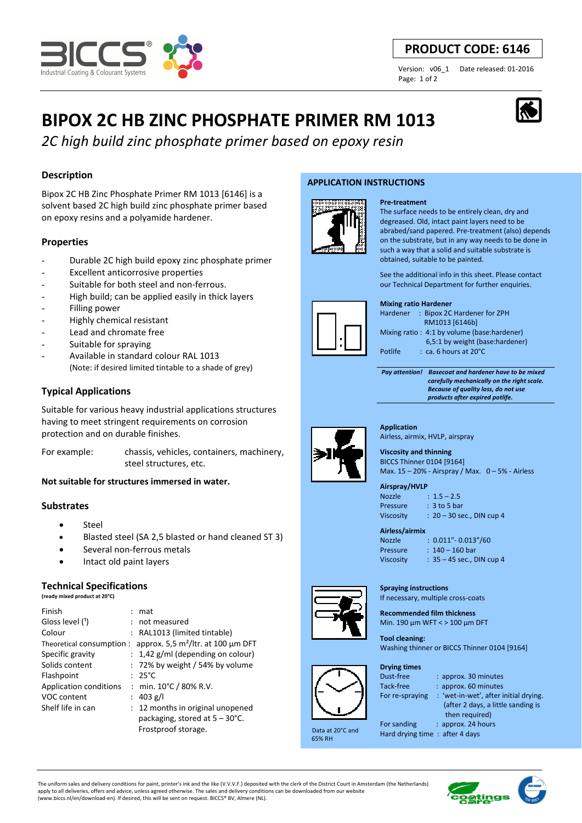

# **PRODUCT CODE: 6146**

Page: 1 of 2

Version: v06\_1 Date released: 01-2016

# **BIPOX 2C HB ZINC PHOSPHATE PRIMER RM 1013**

*2C high build zinc phosphate primer based on epoxy resin*

## **Description**

Bipox 2C HB Zinc Phosphate Primer RM 1013 [6146] is a solvent based 2C high build zinc phosphate primer based on epoxy resins and a polyamide hardener.

#### **Properties**

- Durable 2C high build epoxy zinc phosphate primer
- Excellent anticorrosive properties
- Suitable for both steel and non-ferrous.
- High build; can be applied easily in thick layers
- Filling power
- Highly chemical resistant
- Lead and chromate free
- Suitable for spraying
- Available in standard colour RAL 1013 (Note: if desired limited tintable to a shade of grey)

### **Typical Applications**

Suitable for various heavy industrial applications structures having to meet stringent requirements on corrosion protection and on durable finishes.

For example: chassis, vehicles, containers, machinery, steel structures, etc.

#### **Not suitable for structures immersed in water.**

#### **Substrates**

- Steel
- Blasted steel (SA 2,5 blasted or hand cleaned ST 3)
- Several non-ferrous metals
- Intact old paint layers

#### **Technical Specifications**

**(ready mixed product at 20°C)**

| Finish                        | mat                                      |
|-------------------------------|------------------------------------------|
| Gloss level (1)               | not measured                             |
| Colour                        | : RAL1013 (limited tintable)             |
| Theoretical consumption:      | approx. 5,5 $m^2$ /ltr. at 100 µm DFT    |
| Specific gravity              | $: 1,42$ g/ml (depending on colour)      |
| Solids content                | $: 72\%$ by weight / 54% by volume       |
| Flashpoint                    | $: 25^{\circ}$ C                         |
| <b>Application conditions</b> | : min. $10^{\circ}$ C / 80% R.V.         |
| VOC content                   | 403 g/l                                  |
| Shelf life in can             | : 12 months in original unopened         |
|                               | packaging, stored at $5 - 30^{\circ}$ C. |
|                               | Frostproof storage.                      |

#### **APPLICATION INSTRUCTIONS**



The surface needs to be entirely clean, dry and degreased. Old, intact paint layers need to be abrabed/sand papered. Pre-treatment (also) depends on the substrate, but in any way needs to be done in such a way that a solid and suitable substrate is obtained, suitable to be painted.

See the additional info in this sheet. Please contact our Technical Department for further enquiries.

#### **Mixing ratio Hardener**

**Pre-treatment**

| Hardener | : Bipox 2C Hardener for ZPH                 |
|----------|---------------------------------------------|
|          | RM1013 [6146b]                              |
|          | Mixing ratio: 4:1 by volume (base:hardener) |
|          | 6,5:1 by weight (base:hardener)             |
| Potlife  | $:$ ca. 6 hours at 20 $^{\circ}$ C          |
|          |                                             |

 *Pay attention! Basecoat and hardener have to be mixed carefully mechanically on the right scale. Because of quality loss, do not use* 



Airless, airmix, HVLP, airspray **Viscosity and thinning** 

BICCS Thinner 0104 [9164] Max. 15 – 20% - Airspray / Max. 0 – 5% - Airless

#### **Airspray/HVLP**

| <b>Nozzle</b>    | $: 1.5 - 2.5$               |
|------------------|-----------------------------|
| Pressure         | $: 3$ to 5 bar              |
| <b>Viscosity</b> | $: 20 - 30$ sec., DIN cup 4 |

| Airless/airmix   |                             |  |  |
|------------------|-----------------------------|--|--|
| <b>Nozzle</b>    | $: 0.011" - 0.013" / 60$    |  |  |
| Pressure         | $: 140 - 160$ bar           |  |  |
| <b>Viscosity</b> | $: 35 - 45$ sec., DIN cup 4 |  |  |

**Spraying instructions**  If necessary, multiple cross-coats

**Recommended film thickness**  Min. 190 µm WFT < > 100 µm DFT

**Tool cleaning:**  Washing thinner or BICCS Thinner 0104 [9164]



 Data at 20°C and 65% RH

| <b>Drying times</b> |
|---------------------|
| Dust-free           |
| Tack-free           |
| For re-sprayin      |

| ıst-free      | : ar |
|---------------|------|
| ck-free       | : ar |
| r re-spraying | : 'w |
|               | 7.   |

| Tack-free       | : approx. 60 minutes                  |
|-----------------|---------------------------------------|
| For re-spraying | : 'wet-in-wet', after initial drying. |
|                 | (after 2 days, a little sanding is    |
|                 | then required)                        |
|                 |                                       |

 $m<sub>o</sub>$  20 minutes

For sanding : approx. 24 hours

Hard drying time : after 4 days

The uniform sales and delivery conditions for paint, printer's ink and the like (V.V.V.F.) deposited with the clerk of the District Court in Amsterdam (the Netherlands) apply to all deliveries, offers and advice, unless agreed otherwise. The sales and delivery conditions can be downloaded from our website (www.biccs.nl/en/download-en). If desired, this will be sent on request. BICCS® BV, Almere (NL).





 *products after expired potlife.* **Application**